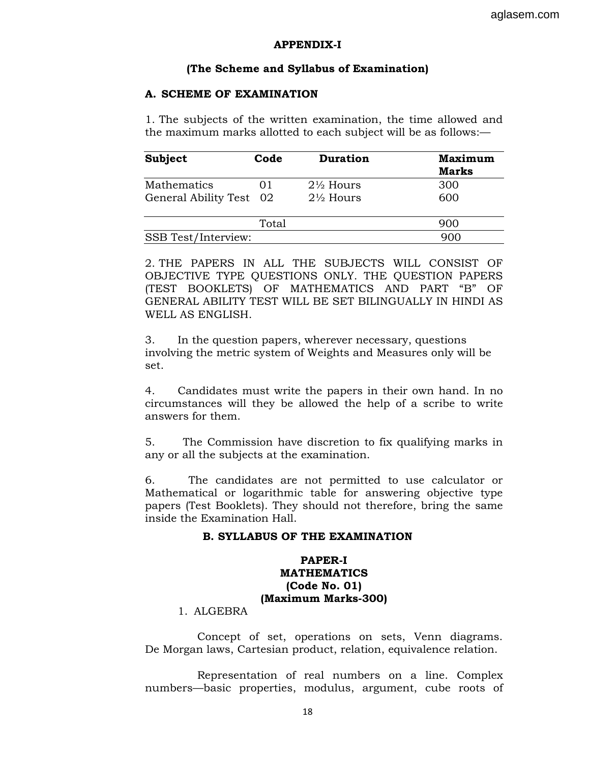### **APPENDIX-I**

## **(The Scheme and Syllabus of Examination)**

## **A. SCHEME OF EXAMINATION**

1. The subjects of the written examination, the time allowed and the maximum marks allotted to each subject will be as follows:—

| <b>Subject</b>          | Code  | <b>Duration</b>      | <b>Maximum</b><br><b>Marks</b> |
|-------------------------|-------|----------------------|--------------------------------|
| Mathematics             |       | $2\frac{1}{2}$ Hours | 300                            |
| General Ability Test 02 |       | $2\frac{1}{2}$ Hours | 600                            |
|                         | Total |                      | 900                            |
| SSB Test/Interview:     |       |                      | 900                            |

2. THE PAPERS IN ALL THE SUBJECTS WILL CONSIST OF OBJECTIVE TYPE QUESTIONS ONLY. THE QUESTION PAPERS (TEST BOOKLETS) OF MATHEMATICS AND PART "B" OF GENERAL ABILITY TEST WILL BE SET BILINGUALLY IN HINDI AS WELL AS ENGLISH.

3. In the question papers, wherever necessary, questions involving the metric system of Weights and Measures only will be set.

4. Candidates must write the papers in their own hand. In no circumstances will they be allowed the help of a scribe to write answers for them.

5. The Commission have discretion to fix qualifying marks in any or all the subjects at the examination.

6. The candidates are not permitted to use calculator or Mathematical or logarithmic table for answering objective type papers (Test Booklets). They should not therefore, bring the same inside the Examination Hall.

### **B. SYLLABUS OF THE EXAMINATION**

# **PAPER-I MATHEMATICS (Code No. 01) (Maximum Marks-300)**

# 1. ALGEBRA

 Concept of set, operations on sets, Venn diagrams. De Morgan laws, Cartesian product, relation, equivalence relation.

 Representation of real numbers on a line. Complex numbers—basic properties, modulus, argument, cube roots of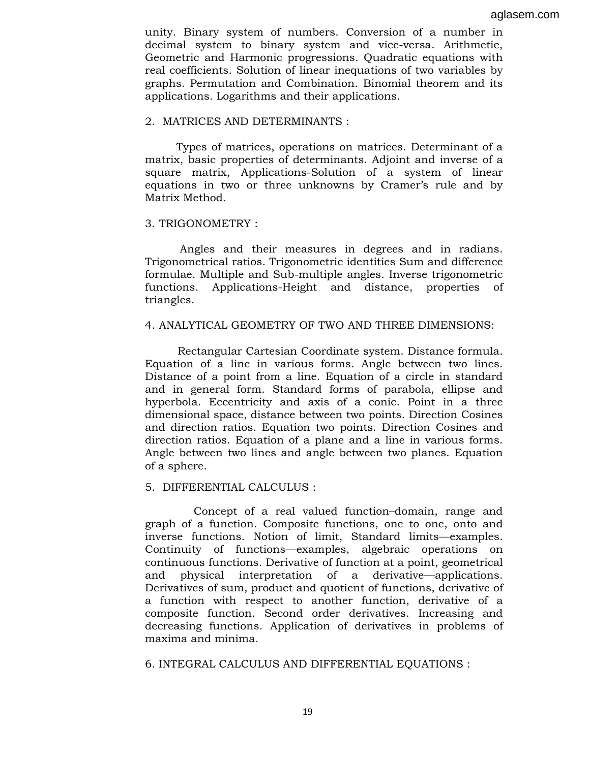unity. Binary system of numbers. Conversion of a number in decimal system to binary system and vice-versa. Arithmetic, Geometric and Harmonic progressions. Quadratic equations with real coefficients. Solution of linear inequations of two variables by graphs. Permutation and Combination. Binomial theorem and its applications. Logarithms and their applications.

## 2. MATRICES AND DETERMINANTS :

 Types of matrices, operations on matrices. Determinant of a matrix, basic properties of determinants. Adjoint and inverse of a square matrix, Applications-Solution of a system of linear equations in two or three unknowns by Cramer's rule and by Matrix Method.

### 3. TRIGONOMETRY :

 Angles and their measures in degrees and in radians. Trigonometrical ratios. Trigonometric identities Sum and difference formulae. Multiple and Sub-multiple angles. Inverse trigonometric functions. Applications-Height and distance, properties of triangles.

### 4. ANALYTICAL GEOMETRY OF TWO AND THREE DIMENSIONS:

Rectangular Cartesian Coordinate system. Distance formula. Equation of a line in various forms. Angle between two lines. Distance of a point from a line. Equation of a circle in standard and in general form. Standard forms of parabola, ellipse and hyperbola. Eccentricity and axis of a conic. Point in a three dimensional space, distance between two points. Direction Cosines and direction ratios. Equation two points. Direction Cosines and direction ratios. Equation of a plane and a line in various forms. Angle between two lines and angle between two planes. Equation of a sphere.

## 5. DIFFERENTIAL CALCULUS :

 Concept of a real valued function–domain, range and graph of a function. Composite functions, one to one, onto and inverse functions. Notion of limit, Standard limits—examples. Continuity of functions—examples, algebraic operations on continuous functions. Derivative of function at a point, geometrical and physical interpretation of a derivative—applications. Derivatives of sum, product and quotient of functions, derivative of a function with respect to another function, derivative of a composite function. Second order derivatives. Increasing and decreasing functions. Application of derivatives in problems of maxima and minima.

6. INTEGRAL CALCULUS AND DIFFERENTIAL EQUATIONS :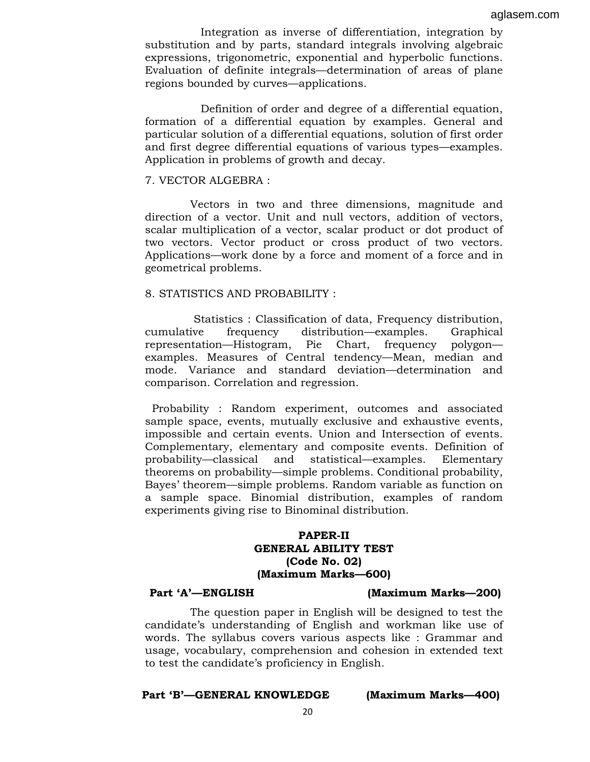Integration as inverse of differentiation, integration by substitution and by parts, standard integrals involving algebraic expressions, trigonometric, exponential and hyperbolic functions. Evaluation of definite integrals—determination of areas of plane regions bounded by curves—applications.

 Definition of order and degree of a differential equation, formation of a differential equation by examples. General and particular solution of a differential equations, solution of first order and first degree differential equations of various types—examples. Application in problems of growth and decay.

### 7. VECTOR ALGEBRA :

 Vectors in two and three dimensions, magnitude and direction of a vector. Unit and null vectors, addition of vectors, scalar multiplication of a vector, scalar product or dot product of two vectors. Vector product or cross product of two vectors. Applications—work done by a force and moment of a force and in geometrical problems.

## 8. STATISTICS AND PROBABILITY :

 Statistics : Classification of data, Frequency distribution, cumulative frequency distribution—examples. Graphical representation—Histogram, Pie Chart, frequency polygon examples. Measures of Central tendency—Mean, median and mode. Variance and standard deviation—determination and comparison. Correlation and regression.

 Probability : Random experiment, outcomes and associated sample space, events, mutually exclusive and exhaustive events, impossible and certain events. Union and Intersection of events. Complementary, elementary and composite events. Definition of probability—classical and statistical—examples. Elementary theorems on probability—simple problems. Conditional probability, Bayes' theorem—simple problems. Random variable as function on a sample space. Binomial distribution, examples of random experiments giving rise to Binominal distribution.

## **PAPER-II GENERAL ABILITY TEST (Code No. 02) (Maximum Marks—600)**

## **Part 'A'—ENGLISH (Maximum Marks—200)**

 The question paper in English will be designed to test the candidate's understanding of English and workman like use of words. The syllabus covers various aspects like : Grammar and usage, vocabulary, comprehension and cohesion in extended text to test the candidate's proficiency in English.

## **Part 'B'—GENERAL KNOWLEDGE (Maximum Marks—400)**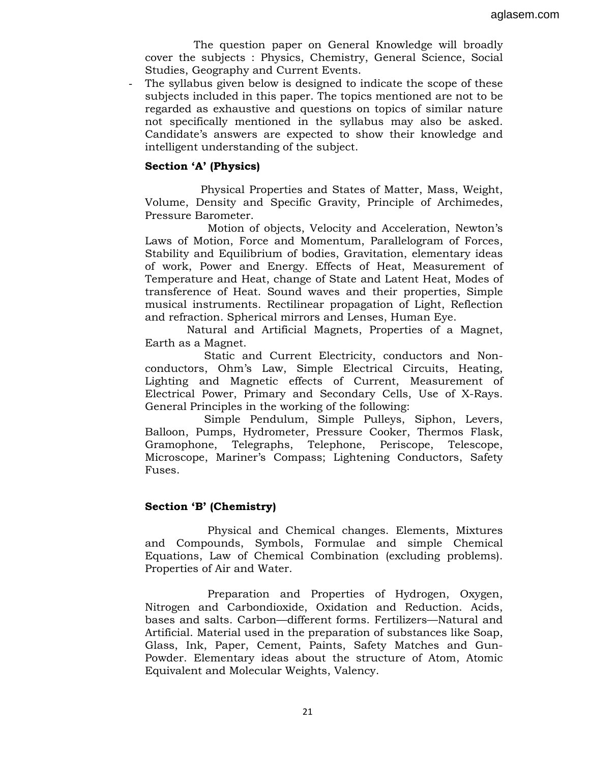The question paper on General Knowledge will broadly cover the subjects : Physics, Chemistry, General Science, Social Studies, Geography and Current Events.

The syllabus given below is designed to indicate the scope of these subjects included in this paper. The topics mentioned are not to be regarded as exhaustive and questions on topics of similar nature not specifically mentioned in the syllabus may also be asked. Candidate's answers are expected to show their knowledge and intelligent understanding of the subject.

## **Section 'A' (Physics)**

 Physical Properties and States of Matter, Mass, Weight, Volume, Density and Specific Gravity, Principle of Archimedes, Pressure Barometer.

 Motion of objects, Velocity and Acceleration, Newton's Laws of Motion, Force and Momentum, Parallelogram of Forces, Stability and Equilibrium of bodies, Gravitation, elementary ideas of work, Power and Energy. Effects of Heat, Measurement of Temperature and Heat, change of State and Latent Heat, Modes of transference of Heat. Sound waves and their properties, Simple musical instruments. Rectilinear propagation of Light, Reflection and refraction. Spherical mirrors and Lenses, Human Eye.

 Natural and Artificial Magnets, Properties of a Magnet, Earth as a Magnet.

 Static and Current Electricity, conductors and Nonconductors, Ohm's Law, Simple Electrical Circuits, Heating, Lighting and Magnetic effects of Current, Measurement of Electrical Power, Primary and Secondary Cells, Use of X-Rays. General Principles in the working of the following:

 Simple Pendulum, Simple Pulleys, Siphon, Levers, Balloon, Pumps, Hydrometer, Pressure Cooker, Thermos Flask, Gramophone, Telegraphs, Telephone, Periscope, Telescope, Microscope, Mariner's Compass; Lightening Conductors, Safety Fuses.

# **Section 'B' (Chemistry)**

 Physical and Chemical changes. Elements, Mixtures and Compounds, Symbols, Formulae and simple Chemical Equations, Law of Chemical Combination (excluding problems). Properties of Air and Water.

 Preparation and Properties of Hydrogen, Oxygen, Nitrogen and Carbondioxide, Oxidation and Reduction. Acids, bases and salts. Carbon—different forms. Fertilizers—Natural and Artificial. Material used in the preparation of substances like Soap, Glass, Ink, Paper, Cement, Paints, Safety Matches and Gun-Powder. Elementary ideas about the structure of Atom, Atomic Equivalent and Molecular Weights, Valency.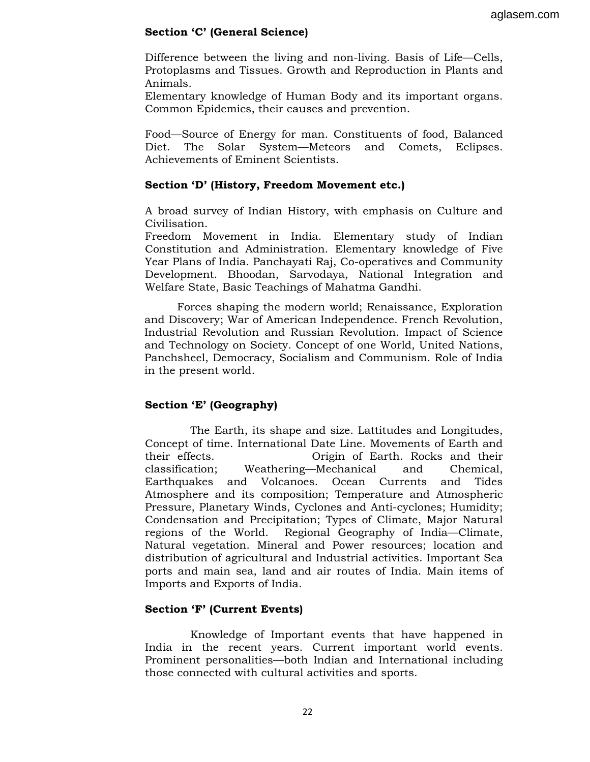# **Section 'C' (General Science)**

Difference between the living and non-living. Basis of Life—Cells, Protoplasms and Tissues. Growth and Reproduction in Plants and Animals.

Elementary knowledge of Human Body and its important organs. Common Epidemics, their causes and prevention.

Food—Source of Energy for man. Constituents of food, Balanced Diet. The Solar System—Meteors and Comets, Eclipses. Achievements of Eminent Scientists.

# **Section 'D' (History, Freedom Movement etc.)**

A broad survey of Indian History, with emphasis on Culture and Civilisation.

Freedom Movement in India. Elementary study of Indian Constitution and Administration. Elementary knowledge of Five Year Plans of India. Panchayati Raj, Co-operatives and Community Development. Bhoodan, Sarvodaya, National Integration and Welfare State, Basic Teachings of Mahatma Gandhi.

Forces shaping the modern world; Renaissance, Exploration and Discovery; War of American Independence. French Revolution, Industrial Revolution and Russian Revolution. Impact of Science and Technology on Society. Concept of one World, United Nations, Panchsheel, Democracy, Socialism and Communism. Role of India in the present world.

# **Section 'E' (Geography)**

 The Earth, its shape and size. Lattitudes and Longitudes, Concept of time. International Date Line. Movements of Earth and their effects. Origin of Earth. Rocks and their classification; Weathering—Mechanical and Chemical, Earthquakes and Volcanoes. Ocean Currents and Tides Atmosphere and its composition; Temperature and Atmospheric Pressure, Planetary Winds, Cyclones and Anti-cyclones; Humidity; Condensation and Precipitation; Types of Climate, Major Natural regions of the World. Regional Geography of India—Climate, Natural vegetation. Mineral and Power resources; location and distribution of agricultural and Industrial activities. Important Sea ports and main sea, land and air routes of India. Main items of Imports and Exports of India.

# **Section 'F' (Current Events)**

 Knowledge of Important events that have happened in India in the recent years. Current important world events. Prominent personalities—both Indian and International including those connected with cultural activities and sports.